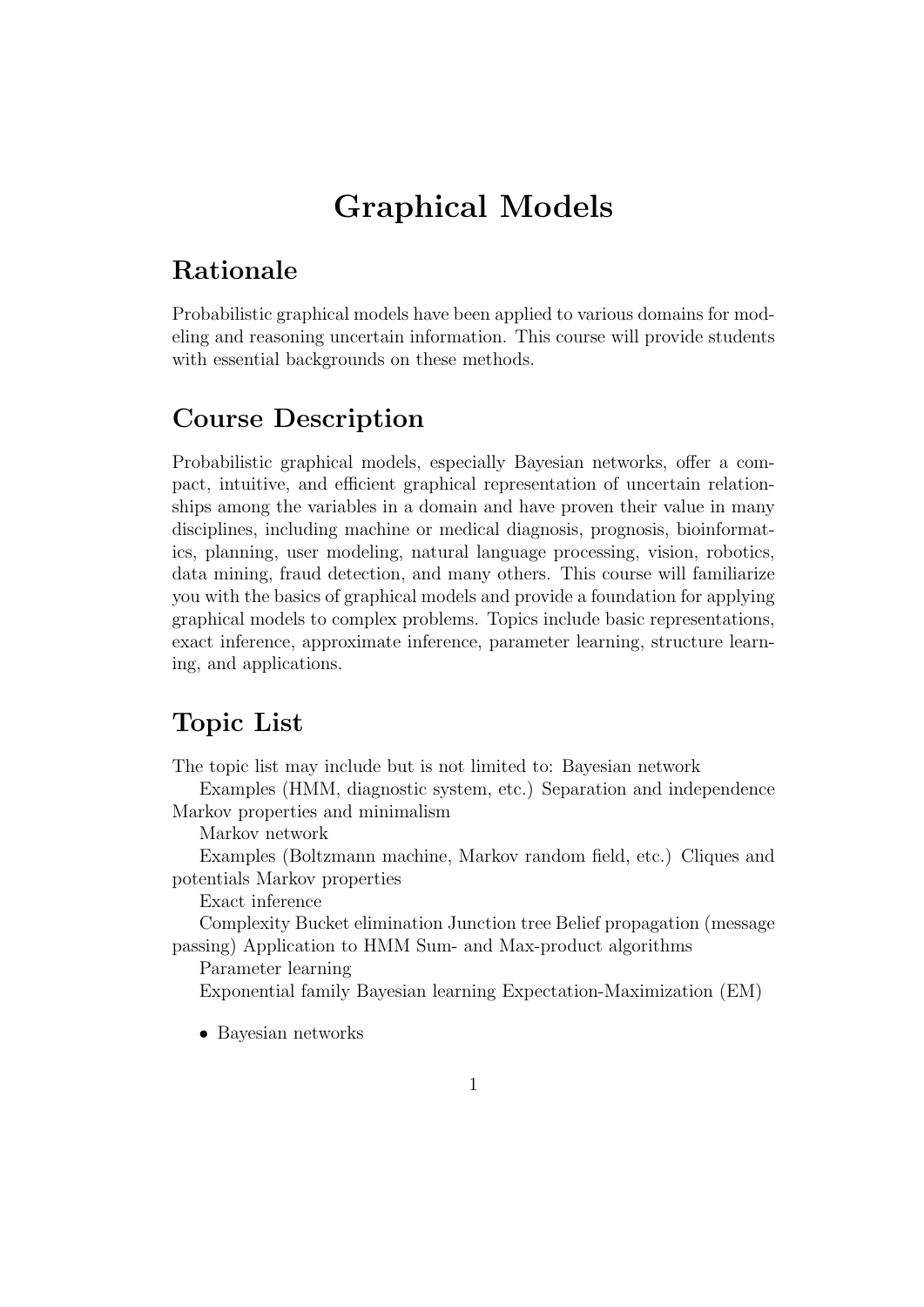# Graphical Models

### Rationale

Probabilistic graphical models have been applied to various domains for modeling and reasoning uncertain information. This course will provide students with essential backgrounds on these methods.

#### Course Description

Probabilistic graphical models, especially Bayesian networks, offer a compact, intuitive, and efficient graphical representation of uncertain relationships among the variables in a domain and have proven their value in many disciplines, including machine or medical diagnosis, prognosis, bioinformatics, planning, user modeling, natural language processing, vision, robotics, data mining, fraud detection, and many others. This course will familiarize you with the basics of graphical models and provide a foundation for applying graphical models to complex problems. Topics include basic representations, exact inference, approximate inference, parameter learning, structure learning, and applications.

#### Topic List

The topic list may include but is not limited to: Bayesian network

Examples (HMM, diagnostic system, etc.) Separation and independence Markov properties and minimalism

Markov network

Examples (Boltzmann machine, Markov random field, etc.) Cliques and potentials Markov properties

Exact inference

Complexity Bucket elimination Junction tree Belief propagation (message passing) Application to HMM Sum- and Max-product algorithms

Parameter learning

Exponential family Bayesian learning Expectation-Maximization (EM)

• Bayesian networks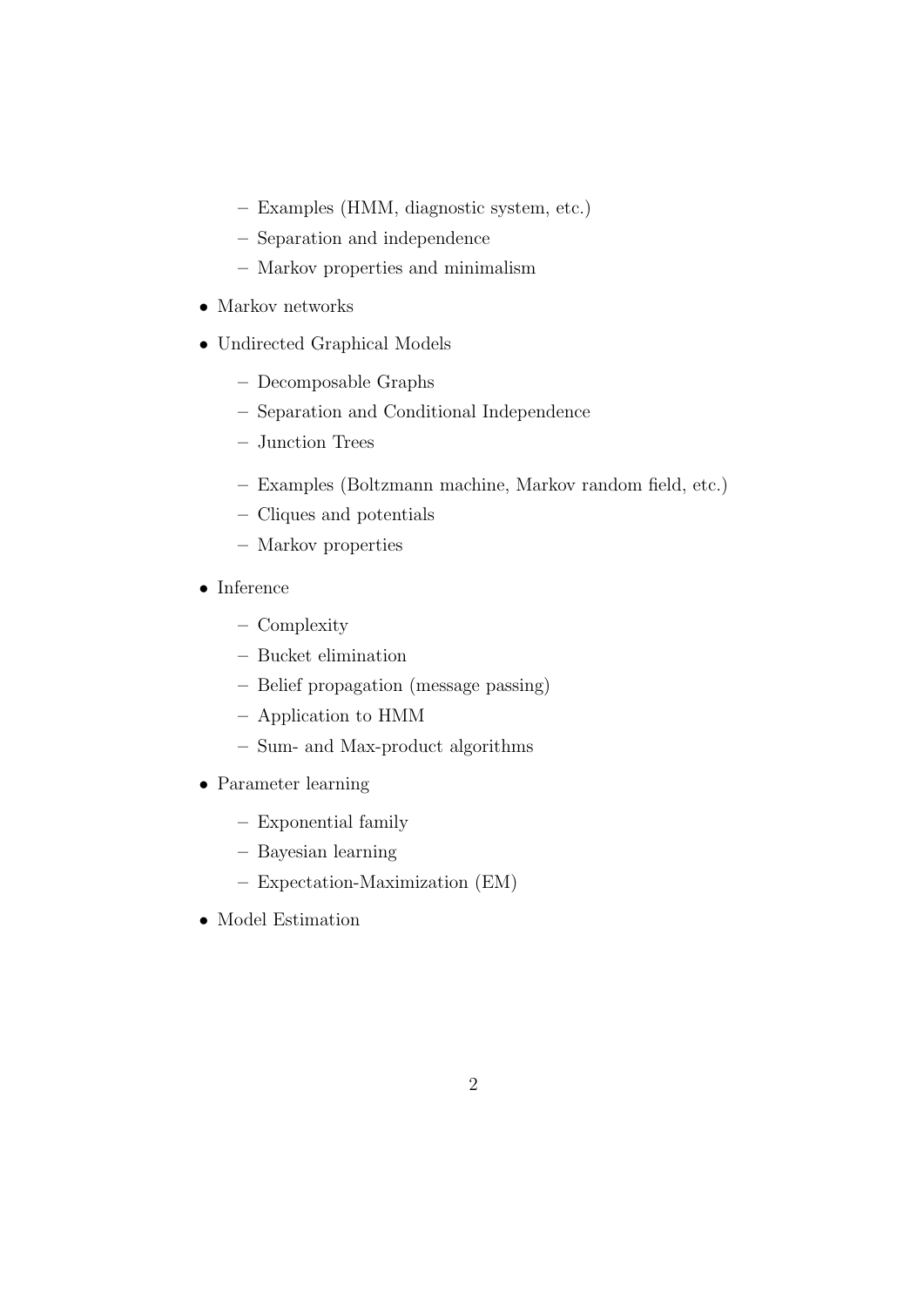- Examples (HMM, diagnostic system, etc.)
- Separation and independence
- Markov properties and minimalism
- Markov networks
- Undirected Graphical Models
	- Decomposable Graphs
	- Separation and Conditional Independence
	- Junction Trees
	- Examples (Boltzmann machine, Markov random field, etc.)
	- Cliques and potentials
	- Markov properties
- Inference
	- Complexity
	- Bucket elimination
	- Belief propagation (message passing)
	- Application to HMM
	- Sum- and Max-product algorithms
- Parameter learning
	- Exponential family
	- Bayesian learning
	- Expectation-Maximization (EM)
- Model Estimation